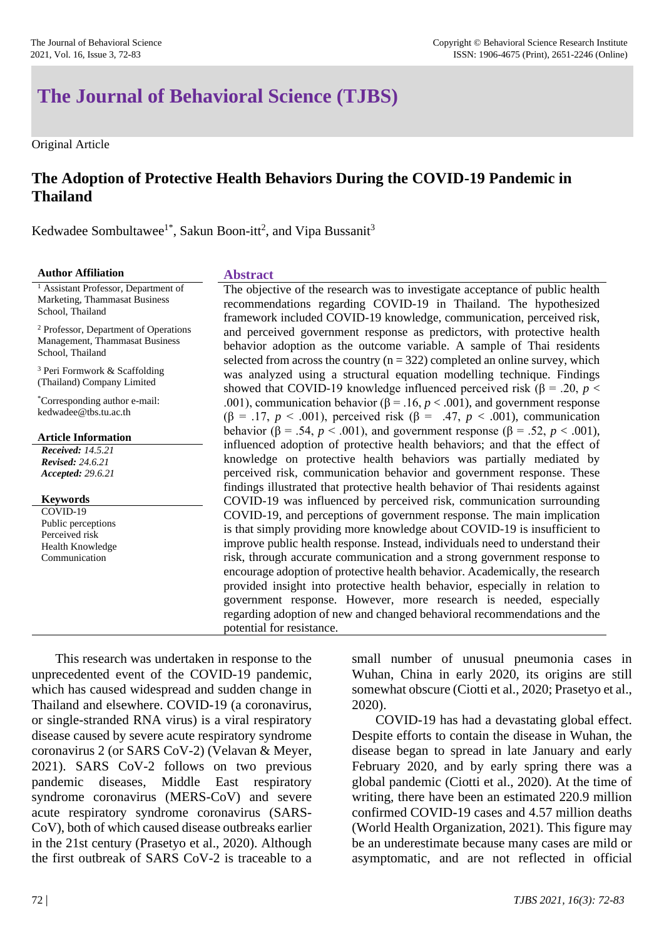# **The Journal of Behavioral Science (TJBS)**

Original Article

# **The Adoption of Protective Health Behaviors During the COVID-19 Pandemic in Thailand**

Kedwadee Sombultawee<sup>1\*</sup>, Sakun Boon-itt<sup>2</sup>, and Vipa Bussanit<sup>3</sup>

| <b>Author Affiliation</b>                                                                                | <b>Abstract</b>                                                                                                                                                                                                                                                                                                                                                                                                                                                                                                                                                                                                                                                                                                                       |
|----------------------------------------------------------------------------------------------------------|---------------------------------------------------------------------------------------------------------------------------------------------------------------------------------------------------------------------------------------------------------------------------------------------------------------------------------------------------------------------------------------------------------------------------------------------------------------------------------------------------------------------------------------------------------------------------------------------------------------------------------------------------------------------------------------------------------------------------------------|
| <sup>1</sup> Assistant Professor, Department of                                                          | The objective of the research was to investigate acceptance of public health                                                                                                                                                                                                                                                                                                                                                                                                                                                                                                                                                                                                                                                          |
| Marketing, Thammasat Business                                                                            | recommendations regarding COVID-19 in Thailand. The hypothesized                                                                                                                                                                                                                                                                                                                                                                                                                                                                                                                                                                                                                                                                      |
| School, Thailand                                                                                         | framework included COVID-19 knowledge, communication, perceived risk,                                                                                                                                                                                                                                                                                                                                                                                                                                                                                                                                                                                                                                                                 |
| <sup>2</sup> Professor, Department of Operations                                                         | and perceived government response as predictors, with protective health                                                                                                                                                                                                                                                                                                                                                                                                                                                                                                                                                                                                                                                               |
| Management, Thammasat Business                                                                           | behavior adoption as the outcome variable. A sample of Thai residents                                                                                                                                                                                                                                                                                                                                                                                                                                                                                                                                                                                                                                                                 |
| School, Thailand                                                                                         | selected from across the country ( $n = 322$ ) completed an online survey, which                                                                                                                                                                                                                                                                                                                                                                                                                                                                                                                                                                                                                                                      |
| <sup>3</sup> Peri Formwork $&$ Scaffolding                                                               | was analyzed using a structural equation modelling technique. Findings                                                                                                                                                                                                                                                                                                                                                                                                                                                                                                                                                                                                                                                                |
| (Thailand) Company Limited                                                                               | showed that COVID-19 knowledge influenced perceived risk ( $\beta$ = .20, $p$ <                                                                                                                                                                                                                                                                                                                                                                                                                                                                                                                                                                                                                                                       |
| *Corresponding author e-mail:                                                                            | .001), communication behavior ( $\beta$ = .16, $p$ < .001), and government response                                                                                                                                                                                                                                                                                                                                                                                                                                                                                                                                                                                                                                                   |
| kedwadee@tbs.tu.ac.th                                                                                    | $(\beta = .17, p < .001)$ , perceived risk $(\beta = .47, p < .001)$ , communication                                                                                                                                                                                                                                                                                                                                                                                                                                                                                                                                                                                                                                                  |
| <b>Article Information</b><br><b>Received:</b> 14.5.21<br><b>Revised: 24.6.21</b><br>Accepted: 29.6.21   | behavior ( $\beta$ = .54, $p < .001$ ), and government response ( $\beta$ = .52, $p < .001$ ),<br>influenced adoption of protective health behaviors; and that the effect of<br>knowledge on protective health behaviors was partially mediated by<br>perceived risk, communication behavior and government response. These<br>findings illustrated that protective health behavior of Thai residents against                                                                                                                                                                                                                                                                                                                         |
| <b>Keywords</b><br>COVID-19<br>Public perceptions<br>Perceived risk<br>Health Knowledge<br>Communication | COVID-19 was influenced by perceived risk, communication surrounding<br>COVID-19, and perceptions of government response. The main implication<br>is that simply providing more knowledge about COVID-19 is insufficient to<br>improve public health response. Instead, individuals need to understand their<br>risk, through accurate communication and a strong government response to<br>encourage adoption of protective health behavior. Academically, the research<br>provided insight into protective health behavior, especially in relation to<br>government response. However, more research is needed, especially<br>regarding adoption of new and changed behavioral recommendations and the<br>potential for resistance. |

This research was undertaken in response to the unprecedented event of the COVID-19 pandemic, which has caused widespread and sudden change in Thailand and elsewhere. COVID-19 (a coronavirus, or single-stranded RNA virus) is a viral respiratory disease caused by severe acute respiratory syndrome coronavirus 2 (or SARS CoV-2) (Velavan & Meyer, 2021). SARS CoV-2 follows on two previous pandemic diseases, Middle East respiratory syndrome coronavirus (MERS-CoV) and severe acute respiratory syndrome coronavirus (SARS-CoV), both of which caused disease outbreaks earlier in the 21st century (Prasetyo et al., 2020). Although the first outbreak of SARS CoV-2 is traceable to a

small number of unusual pneumonia cases in Wuhan, China in early 2020, its origins are still somewhat obscure (Ciotti et al., 2020; Prasetyo et al., 2020).

COVID-19 has had a devastating global effect. Despite efforts to contain the disease in Wuhan, the disease began to spread in late January and early February 2020, and by early spring there was a global pandemic (Ciotti et al., 2020). At the time of writing, there have been an estimated 220.9 million confirmed COVID-19 cases and 4.57 million deaths (World Health Organization, 2021). This figure may be an underestimate because many cases are mild or asymptomatic, and are not reflected in official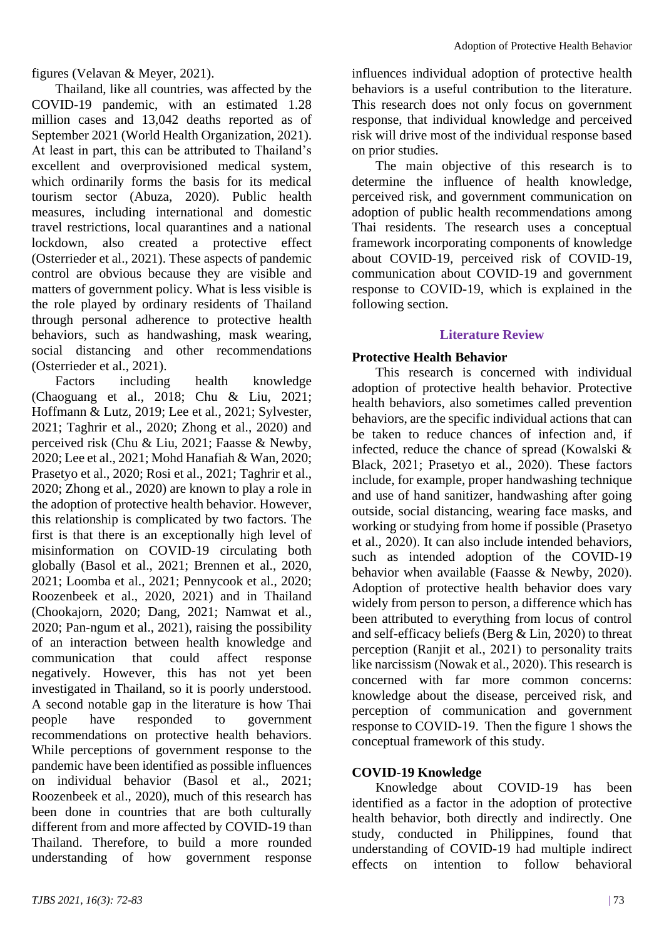figures (Velavan & Meyer, 2021).

Thailand, like all countries, was affected by the COVID-19 pandemic, with an estimated 1.28 million cases and 13,042 deaths reported as of September 2021 (World Health Organization, 2021). At least in part, this can be attributed to Thailand's excellent and overprovisioned medical system, which ordinarily forms the basis for its medical tourism sector (Abuza, 2020). Public health measures, including international and domestic travel restrictions, local quarantines and a national lockdown, also created a protective effect (Osterrieder et al., 2021). These aspects of pandemic control are obvious because they are visible and matters of government policy. What is less visible is the role played by ordinary residents of Thailand through personal adherence to protective health behaviors, such as handwashing, mask wearing, social distancing and other recommendations (Osterrieder et al., 2021).

Factors including health knowledge (Chaoguang et al., 2018; Chu & Liu, 2021; Hoffmann & Lutz, 2019; Lee et al., 2021; Sylvester, 2021; Taghrir et al., 2020; Zhong et al., 2020) and perceived risk (Chu & Liu, 2021; Faasse & Newby, 2020; Lee et al., 2021; Mohd Hanafiah & Wan, 2020; Prasetyo et al., 2020; Rosi et al., 2021; Taghrir et al., 2020; Zhong et al., 2020) are known to play a role in the adoption of protective health behavior. However, this relationship is complicated by two factors. The first is that there is an exceptionally high level of misinformation on COVID-19 circulating both globally (Basol et al., 2021; Brennen et al., 2020, 2021; Loomba et al., 2021; Pennycook et al., 2020; Roozenbeek et al., 2020, 2021) and in Thailand (Chookajorn, 2020; Dang, 2021; Namwat et al., 2020; Pan-ngum et al., 2021), raising the possibility of an interaction between health knowledge and communication that could affect response negatively. However, this has not yet been investigated in Thailand, so it is poorly understood. A second notable gap in the literature is how Thai people have responded to government recommendations on protective health behaviors. While perceptions of government response to the pandemic have been identified as possible influences on individual behavior (Basol et al., 2021; Roozenbeek et al., 2020), much of this research has been done in countries that are both culturally different from and more affected by COVID-19 than Thailand. Therefore, to build a more rounded understanding of how government response

influences individual adoption of protective health behaviors is a useful contribution to the literature. This research does not only focus on government response, that individual knowledge and perceived risk will drive most of the individual response based on prior studies.

The main objective of this research is to determine the influence of health knowledge, perceived risk, and government communication on adoption of public health recommendations among Thai residents. The research uses a conceptual framework incorporating components of knowledge about COVID-19, perceived risk of COVID-19, communication about COVID-19 and government response to COVID-19, which is explained in the following section.

#### **Literature Review**

#### **Protective Health Behavior**

This research is concerned with individual adoption of protective health behavior. Protective health behaviors, also sometimes called prevention behaviors, are the specific individual actions that can be taken to reduce chances of infection and, if infected, reduce the chance of spread (Kowalski & Black, 2021; Prasetyo et al., 2020). These factors include, for example, proper handwashing technique and use of hand sanitizer, handwashing after going outside, social distancing, wearing face masks, and working or studying from home if possible (Prasetyo et al., 2020). It can also include intended behaviors, such as intended adoption of the COVID-19 behavior when available (Faasse & Newby, 2020). Adoption of protective health behavior does vary widely from person to person, a difference which has been attributed to everything from locus of control and self-efficacy beliefs (Berg & Lin, 2020) to threat perception (Ranjit et al., 2021) to personality traits like narcissism (Nowak et al., 2020). This research is concerned with far more common concerns: knowledge about the disease, perceived risk, and perception of communication and government response to COVID-19. Then the figure 1 shows the conceptual framework of this study.

#### **COVID-19 Knowledge**

Knowledge about COVID-19 has been identified as a factor in the adoption of protective health behavior, both directly and indirectly. One study, conducted in Philippines, found that understanding of COVID-19 had multiple indirect effects on intention to follow behavioral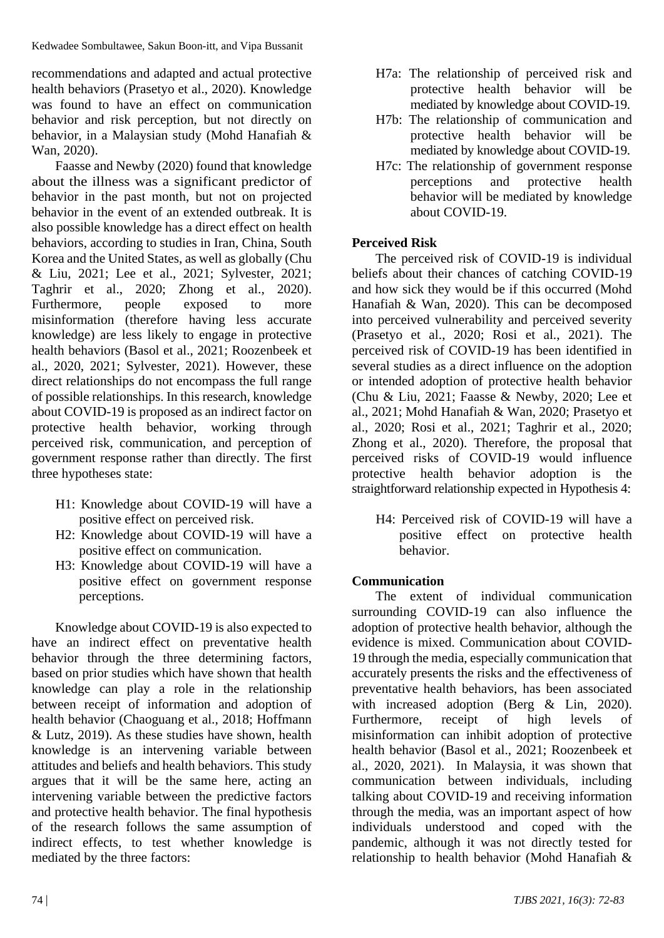recommendations and adapted and actual protective health behaviors (Prasetyo et al., 2020). Knowledge was found to have an effect on communication behavior and risk perception, but not directly on behavior, in a Malaysian study (Mohd Hanafiah & Wan, 2020).

Faasse and Newby (2020) found that knowledge about the illness was a significant predictor of behavior in the past month, but not on projected behavior in the event of an extended outbreak. It is also possible knowledge has a direct effect on health behaviors, according to studies in Iran, China, South Korea and the United States, as well as globally (Chu & Liu, 2021; Lee et al., 2021; Sylvester, 2021; Taghrir et al., 2020; Zhong et al., 2020). Furthermore, people exposed to more misinformation (therefore having less accurate knowledge) are less likely to engage in protective health behaviors (Basol et al., 2021; Roozenbeek et al., 2020, 2021; Sylvester, 2021). However, these direct relationships do not encompass the full range of possible relationships. In this research, knowledge about COVID-19 is proposed as an indirect factor on protective health behavior, working through perceived risk, communication, and perception of government response rather than directly. The first three hypotheses state:

- H1: Knowledge about COVID-19 will have a positive effect on perceived risk.
- H2: Knowledge about COVID-19 will have a positive effect on communication.
- H3: Knowledge about COVID-19 will have a positive effect on government response perceptions.

Knowledge about COVID-19 is also expected to have an indirect effect on preventative health behavior through the three determining factors, based on prior studies which have shown that health knowledge can play a role in the relationship between receipt of information and adoption of health behavior (Chaoguang et al., 2018; Hoffmann & Lutz, 2019). As these studies have shown, health knowledge is an intervening variable between attitudes and beliefs and health behaviors. This study argues that it will be the same here, acting an intervening variable between the predictive factors and protective health behavior. The final hypothesis of the research follows the same assumption of indirect effects, to test whether knowledge is mediated by the three factors:

- H7a: The relationship of perceived risk and protective health behavior will be mediated by knowledge about COVID-19.
- H7b: The relationship of communication and protective health behavior will be mediated by knowledge about COVID-19.
- H7c: The relationship of government response perceptions and protective health behavior will be mediated by knowledge about COVID-19.

# **Perceived Risk**

The perceived risk of COVID-19 is individual beliefs about their chances of catching COVID-19 and how sick they would be if this occurred (Mohd Hanafiah & Wan, 2020). This can be decomposed into perceived vulnerability and perceived severity (Prasetyo et al., 2020; Rosi et al., 2021). The perceived risk of COVID-19 has been identified in several studies as a direct influence on the adoption or intended adoption of protective health behavior (Chu & Liu, 2021; Faasse & Newby, 2020; Lee et al., 2021; Mohd Hanafiah & Wan, 2020; Prasetyo et al., 2020; Rosi et al., 2021; Taghrir et al., 2020; Zhong et al., 2020). Therefore, the proposal that perceived risks of COVID-19 would influence protective health behavior adoption is the straightforward relationship expected in Hypothesis 4:

H4: Perceived risk of COVID-19 will have a positive effect on protective health behavior.

# **Communication**

The extent of individual communication surrounding COVID-19 can also influence the adoption of protective health behavior, although the evidence is mixed. Communication about COVID-19 through the media, especially communication that accurately presents the risks and the effectiveness of preventative health behaviors, has been associated with increased adoption (Berg & Lin, 2020). Furthermore, receipt of high levels of misinformation can inhibit adoption of protective health behavior (Basol et al., 2021; Roozenbeek et al., 2020, 2021). In Malaysia, it was shown that communication between individuals, including talking about COVID-19 and receiving information through the media, was an important aspect of how individuals understood and coped with the pandemic, although it was not directly tested for relationship to health behavior (Mohd Hanafiah &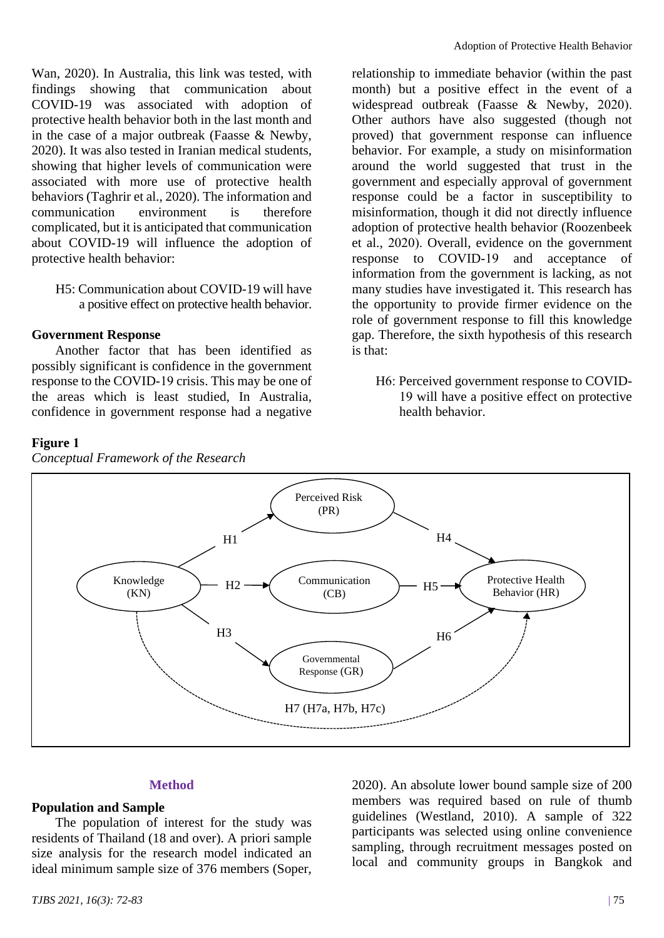Wan, 2020). In Australia, this link was tested, with findings showing that communication about COVID-19 was associated with adoption of protective health behavior both in the last month and in the case of a major outbreak (Faasse & Newby, 2020). It was also tested in Iranian medical students, showing that higher levels of communication were associated with more use of protective health behaviors (Taghrir et al., 2020). The information and communication environment is therefore complicated, but it is anticipated that communication about COVID-19 will influence the adoption of protective health behavior:

H5: Communication about COVID-19 will have a positive effect on protective health behavior.

#### **Government Response**

Another factor that has been identified as possibly significant is confidence in the government response to the COVID-19 crisis. This may be one of the areas which is least studied, In Australia, confidence in government response had a negative

#### **Figure 1**



H7 (H7a, H7b, H7c)

relationship to immediate behavior (within the past month) but a positive effect in the event of a widespread outbreak (Faasse & Newby, 2020). Other authors have also suggested (though not proved) that government response can influence behavior. For example, a study on misinformation around the world suggested that trust in the government and especially approval of government response could be a factor in susceptibility to misinformation, though it did not directly influence adoption of protective health behavior (Roozenbeek et al., 2020). Overall, evidence on the government response to COVID-19 and acceptance of information from the government is lacking, as not many studies have investigated it. This research has the opportunity to provide firmer evidence on the role of government response to fill this knowledge gap. Therefore, the sixth hypothesis of this research is that:

H6: Perceived government response to COVID-19 will have a positive effect on protective health behavior.

#### **Method**

#### **Population and Sample**

The population of interest for the study was residents of Thailand (18 and over). A priori sample size analysis for the research model indicated an ideal minimum sample size of 376 members (Soper, 2020). An absolute lower bound sample size of 200 members was required based on rule of thumb guidelines (Westland, 2010). A sample of 322 participants was selected using online convenience sampling, through recruitment messages posted on local and community groups in Bangkok and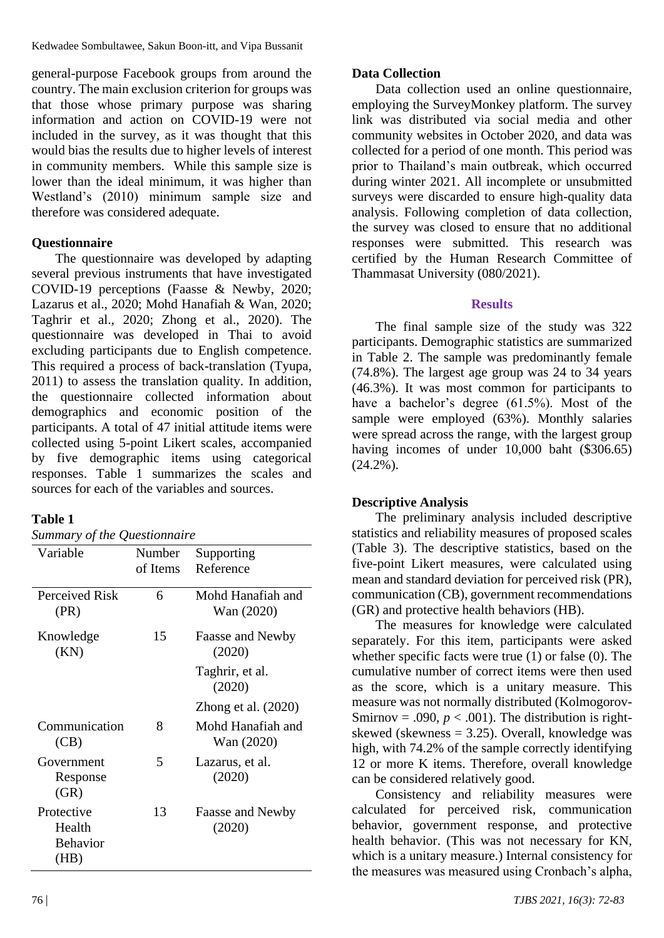Kedwadee Sombultawee, Sakun Boon-itt, and Vipa Bussanit

general-purpose Facebook groups from around the country. The main exclusion criterion for groups was that those whose primary purpose was sharing information and action on COVID-19 were not included in the survey, as it was thought that this would bias the results due to higher levels of interest in community members. While this sample size is lower than the ideal minimum, it was higher than Westland's (2010) minimum sample size and therefore was considered adequate.

# **Questionnaire**

The questionnaire was developed by adapting several previous instruments that have investigated COVID-19 perceptions (Faasse & Newby, 2020; Lazarus et al., 2020; Mohd Hanafiah & Wan, 2020; Taghrir et al., 2020; Zhong et al., 2020). The questionnaire was developed in Thai to avoid excluding participants due to English competence. This required a process of back-translation (Tyupa, 2011) to assess the translation quality. In addition, the questionnaire collected information about demographics and economic position of the participants. A total of 47 initial attitude items were collected using 5-point Likert scales, accompanied by five demographic items using categorical responses. Table 1 summarizes the scales and sources for each of the variables and sources.

#### **Table 1**

| Variable                                        | Number<br>of Items | Supporting<br>Reference         |
|-------------------------------------------------|--------------------|---------------------------------|
| Perceived Risk<br>(PR)                          | 6                  | Mohd Hanafiah and<br>Wan (2020) |
| Knowledge<br>(KN)                               | 15                 | Faasse and Newby<br>(2020)      |
|                                                 |                    | Taghrir, et al.<br>(2020)       |
|                                                 |                    | Zhong et al. $(2020)$           |
| Communication<br>(CB)                           | 8                  | Mohd Hanafiah and<br>Wan (2020) |
| Government<br>Response<br>(GR)                  | 5                  | Lazarus, et al.<br>(2020)       |
| Protective<br>Health<br><b>Behavior</b><br>(HB) | 13                 | Faasse and Newby<br>(2020)      |

### **Data Collection**

Data collection used an online questionnaire, employing the SurveyMonkey platform. The survey link was distributed via social media and other community websites in October 2020, and data was collected for a period of one month. This period was prior to Thailand's main outbreak, which occurred during winter 2021. All incomplete or unsubmitted surveys were discarded to ensure high-quality data analysis. Following completion of data collection, the survey was closed to ensure that no additional responses were submitted. This research was certified by the Human Research Committee of Thammasat University (080/2021).

#### **Results**

The final sample size of the study was 322 participants. Demographic statistics are summarized in Table 2. The sample was predominantly female (74.8%). The largest age group was 24 to 34 years (46.3%). It was most common for participants to have a bachelor's degree (61.5%). Most of the sample were employed (63%). Monthly salaries were spread across the range, with the largest group having incomes of under 10,000 baht (\$306.65)  $(24.2\%)$ .

#### **Descriptive Analysis**

The preliminary analysis included descriptive statistics and reliability measures of proposed scales (Table 3). The descriptive statistics, based on the five-point Likert measures, were calculated using mean and standard deviation for perceived risk (PR), communication (CB), government recommendations (GR) and protective health behaviors (HB).

The measures for knowledge were calculated separately. For this item, participants were asked whether specific facts were true (1) or false (0). The cumulative number of correct items were then used as the score, which is a unitary measure. This measure was not normally distributed (Kolmogorov-Smirnov = .090,  $p < .001$ ). The distribution is rightskewed (skewness  $= 3.25$ ). Overall, knowledge was high, with 74.2% of the sample correctly identifying 12 or more K items. Therefore, overall knowledge can be considered relatively good.

Consistency and reliability measures were calculated for perceived risk, communication behavior, government response, and protective health behavior. (This was not necessary for KN, which is a unitary measure.) Internal consistency for the measures was measured using Cronbach's alpha,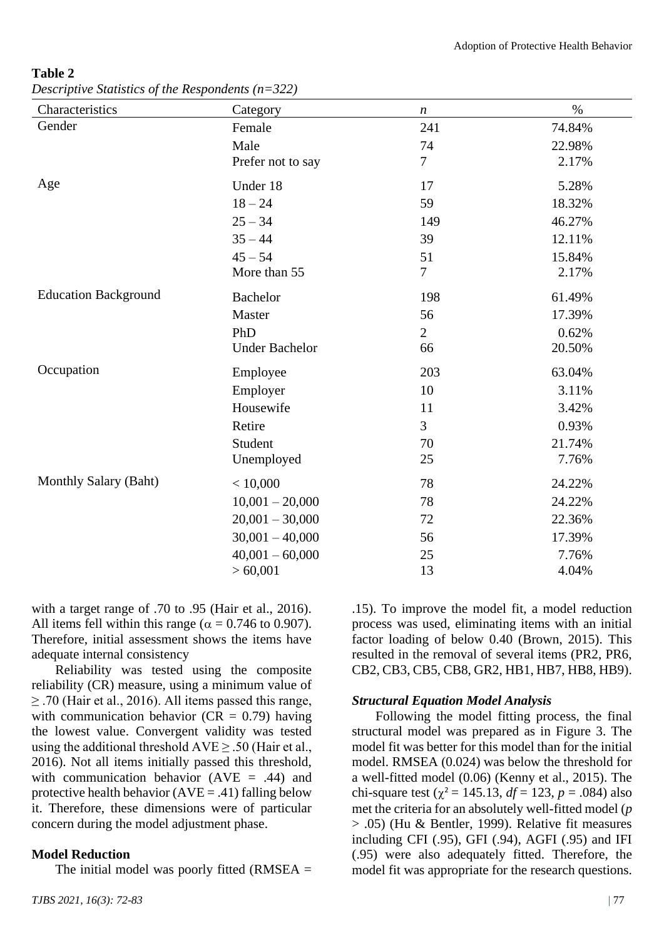| Characteristics             | Category              | $\boldsymbol{n}$ | $\%$   |
|-----------------------------|-----------------------|------------------|--------|
| Gender                      | Female                | 241              | 74.84% |
|                             | Male                  | 74               | 22.98% |
|                             | Prefer not to say     | $\overline{7}$   | 2.17%  |
| Age                         | Under 18              | 17               | 5.28%  |
|                             | $18 - 24$             | 59               | 18.32% |
|                             | $25 - 34$             | 149              | 46.27% |
|                             | $35 - 44$             | 39               | 12.11% |
|                             | $45 - 54$             | 51               | 15.84% |
|                             | More than 55          | $\tau$           | 2.17%  |
| <b>Education Background</b> | <b>Bachelor</b>       | 198              | 61.49% |
|                             | Master                | 56               | 17.39% |
|                             | PhD                   | $\overline{2}$   | 0.62%  |
|                             | <b>Under Bachelor</b> | 66               | 20.50% |
| Occupation                  | Employee              | 203              | 63.04% |
|                             | Employer              | 10               | 3.11%  |
|                             | Housewife             | 11               | 3.42%  |
|                             | Retire                | 3                | 0.93%  |
|                             | Student               | 70               | 21.74% |
|                             | Unemployed            | 25               | 7.76%  |
| Monthly Salary (Baht)       | < 10,000              | 78               | 24.22% |
|                             | $10,001 - 20,000$     | 78               | 24.22% |
|                             | $20,001 - 30,000$     | 72               | 22.36% |
|                             | $30,001 - 40,000$     | 56               | 17.39% |
|                             | $40,001 - 60,000$     | 25               | 7.76%  |
|                             | > 60,001              | 13               | 4.04%  |
|                             |                       |                  |        |

**Table 2**  *Descriptive Statistics of the Respondents (n=322)*

with a target range of .70 to .95 (Hair et al., 2016). All items fell within this range ( $\alpha = 0.746$  to 0.907). Therefore, initial assessment shows the items have adequate internal consistency

Reliability was tested using the composite reliability (CR) measure, using a minimum value of ≥ .70 (Hair et al., 2016). All items passed this range, with communication behavior ( $CR = 0.79$ ) having the lowest value. Convergent validity was tested using the additional threshold  $AVE \geq .50$  (Hair et al., 2016). Not all items initially passed this threshold, with communication behavior  $(AVE = .44)$  and protective health behavior  $(AVE = .41)$  falling below it. Therefore, these dimensions were of particular concern during the model adjustment phase.

#### **Model Reduction**

The initial model was poorly fitted (RMSEA  $=$ 

.15). To improve the model fit, a model reduction process was used, eliminating items with an initial factor loading of below 0.40 (Brown, 2015). This resulted in the removal of several items (PR2, PR6, CB2, CB3, CB5, CB8, GR2, HB1, HB7, HB8, HB9).

#### *Structural Equation Model Analysis*

Following the model fitting process, the final structural model was prepared as in Figure 3. The model fit was better for this model than for the initial model. RMSEA (0.024) was below the threshold for a well-fitted model (0.06) (Kenny et al., 2015). The chi-square test ( $\chi^2$  = 145.13, *df* = 123, *p* = .084) also met the criteria for an absolutely well-fitted model (*p* > .05) (Hu & Bentler, 1999). Relative fit measures including CFI (.95), GFI (.94), AGFI (.95) and IFI (.95) were also adequately fitted. Therefore, the model fit was appropriate for the research questions.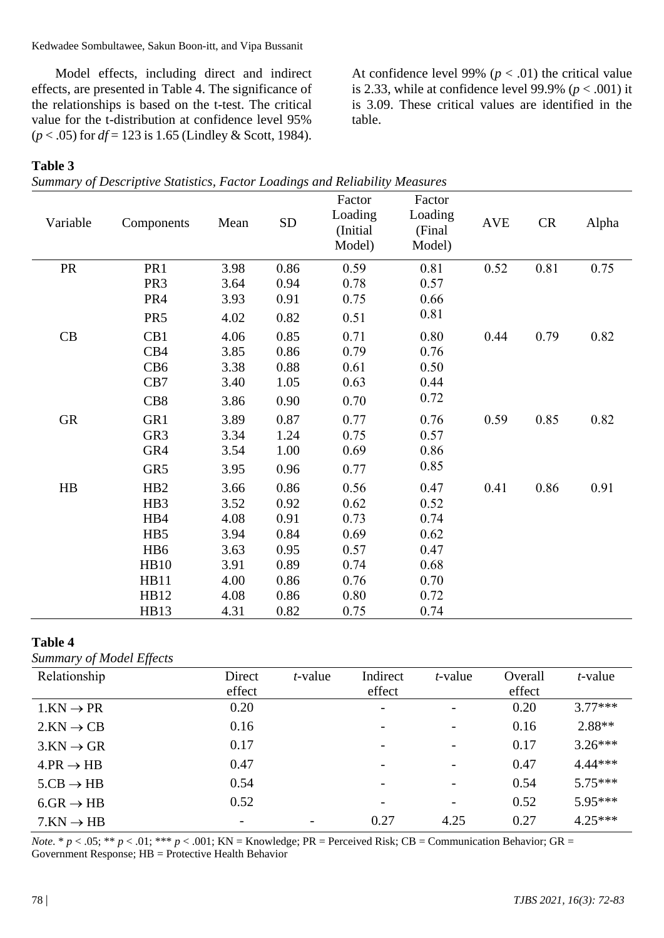Kedwadee Sombultawee, Sakun Boon-itt, and Vipa Bussanit

Model effects, including direct and indirect effects, are presented in Table 4. The significance of the relationships is based on the t-test. The critical value for the t-distribution at confidence level 95% (*p* < .05) for *df* = 123 is 1.65 (Lindley & Scott, 1984).

**Table 3** 

*Summary of Descriptive Statistics, Factor Loadings and Reliability Measures*

| Variable  | Components      | Mean | <b>SD</b> | Factor<br>Loading<br>(Initial<br>Model) | Factor<br>Loading<br>(Final<br>Model) | <b>AVE</b> | CR   | Alpha |
|-----------|-----------------|------|-----------|-----------------------------------------|---------------------------------------|------------|------|-------|
| <b>PR</b> | PR1             | 3.98 | 0.86      | 0.59                                    | 0.81                                  | 0.52       | 0.81 | 0.75  |
|           | PR <sub>3</sub> | 3.64 | 0.94      | 0.78                                    | 0.57                                  |            |      |       |
|           | PR4             | 3.93 | 0.91      | 0.75                                    | 0.66                                  |            |      |       |
|           | PR <sub>5</sub> | 4.02 | 0.82      | 0.51                                    | 0.81                                  |            |      |       |
| CB        | CB1             | 4.06 | 0.85      | 0.71                                    | 0.80                                  | 0.44       | 0.79 | 0.82  |
|           | CB4             | 3.85 | 0.86      | 0.79                                    | 0.76                                  |            |      |       |
|           | CB <sub>6</sub> | 3.38 | 0.88      | 0.61                                    | 0.50                                  |            |      |       |
|           | CB7             | 3.40 | 1.05      | 0.63                                    | 0.44                                  |            |      |       |
|           | CB <sub>8</sub> | 3.86 | 0.90      | 0.70                                    | 0.72                                  |            |      |       |
| <b>GR</b> | GR1             | 3.89 | 0.87      | 0.77                                    | 0.76                                  | 0.59       | 0.85 | 0.82  |
|           | GR <sub>3</sub> | 3.34 | 1.24      | 0.75                                    | 0.57                                  |            |      |       |
|           | GR4             | 3.54 | 1.00      | 0.69                                    | 0.86                                  |            |      |       |
|           | GR5             | 3.95 | 0.96      | 0.77                                    | 0.85                                  |            |      |       |
| HB        | H <sub>B2</sub> | 3.66 | 0.86      | 0.56                                    | 0.47                                  | 0.41       | 0.86 | 0.91  |
|           | HB3             | 3.52 | 0.92      | 0.62                                    | 0.52                                  |            |      |       |
|           | HB4             | 4.08 | 0.91      | 0.73                                    | 0.74                                  |            |      |       |
|           | HB5             | 3.94 | 0.84      | 0.69                                    | 0.62                                  |            |      |       |
|           | H <sub>B6</sub> | 3.63 | 0.95      | 0.57                                    | 0.47                                  |            |      |       |
|           | <b>HB10</b>     | 3.91 | 0.89      | 0.74                                    | 0.68                                  |            |      |       |
|           | <b>HB11</b>     | 4.00 | 0.86      | 0.76                                    | 0.70                                  |            |      |       |
|           | HB12            | 4.08 | 0.86      | 0.80                                    | 0.72                                  |            |      |       |
|           | <b>HB13</b>     | 4.31 | 0.82      | 0.75                                    | 0.74                                  |            |      |       |

table.

At confidence level 99% ( $p < .01$ ) the critical value is 2.33, while at confidence level 99.9% ( $p < .001$ ) it is 3.09. These critical values are identified in the

#### **Table 4**

*Summary of Model Effects*

| Relationship          | Direct | $t$ -value | Indirect                 | $t$ -value               | Overall | $t$ -value |
|-----------------------|--------|------------|--------------------------|--------------------------|---------|------------|
|                       | effect |            | effect                   |                          | effect  |            |
| $1.KN \rightarrow PR$ | 0.20   |            | $\overline{\phantom{a}}$ |                          | 0.20    | $3.77***$  |
| $2.KN \rightarrow CB$ | 0.16   |            | $\overline{\phantom{a}}$ | $\qquad \qquad -$        | 0.16    | $2.88**$   |
| $3.KN \rightarrow GR$ | 0.17   |            | $\overline{\phantom{a}}$ | $\overline{\phantom{a}}$ | 0.17    | $3.26***$  |
| $4.PR \rightarrow HB$ | 0.47   |            | $\qquad \qquad -$        | $\qquad \qquad -$        | 0.47    | $4.44***$  |
| $5.CB \rightarrow HB$ | 0.54   |            | $\overline{\phantom{a}}$ |                          | 0.54    | $5.75***$  |
| $6.GR \rightarrow HB$ | 0.52   |            | $\overline{\phantom{a}}$ | $\overline{\phantom{a}}$ | 0.52    | $5.95***$  |
| $7.KN \rightarrow HB$ |        |            | 0.27                     | 4.25                     | 0.27    | $4.25***$  |

*Note*. \*  $p < .05$ ; \*\*  $p < .01$ ; \*\*\*  $p < .001$ ; KN = Knowledge; PR = Perceived Risk; CB = Communication Behavior; GR = Government Response; HB = Protective Health Behavior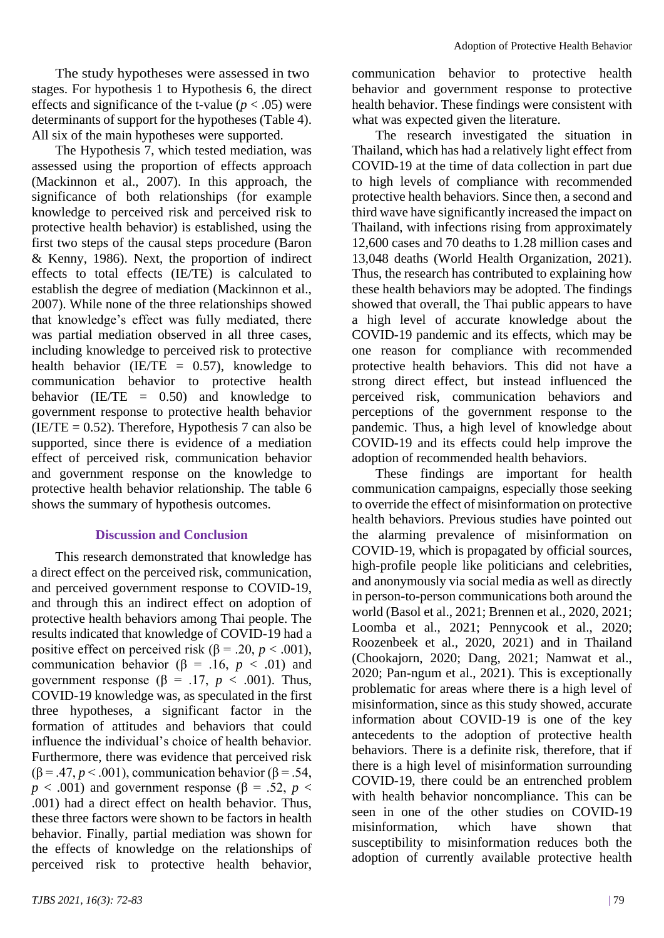The study hypotheses were assessed in two stages. For hypothesis 1 to Hypothesis 6, the direct effects and significance of the t-value ( $p < .05$ ) were determinants of support for the hypotheses (Table 4). All six of the main hypotheses were supported.

The Hypothesis 7, which tested mediation, was assessed using the proportion of effects approach (Mackinnon et al., 2007). In this approach, the significance of both relationships (for example knowledge to perceived risk and perceived risk to protective health behavior) is established, using the first two steps of the causal steps procedure (Baron & Kenny, 1986). Next, the proportion of indirect effects to total effects (IE/TE) is calculated to establish the degree of mediation (Mackinnon et al., 2007). While none of the three relationships showed that knowledge's effect was fully mediated, there was partial mediation observed in all three cases, including knowledge to perceived risk to protective health behavior (IE/TE  $= 0.57$ ), knowledge to communication behavior to protective health behavior (IE/TE  $= 0.50$ ) and knowledge to government response to protective health behavior  $(IE/TE = 0.52)$ . Therefore, Hypothesis 7 can also be supported, since there is evidence of a mediation effect of perceived risk, communication behavior and government response on the knowledge to protective health behavior relationship. The table 6 shows the summary of hypothesis outcomes.

#### **Discussion and Conclusion**

This research demonstrated that knowledge has a direct effect on the perceived risk, communication, and perceived government response to COVID-19, and through this an indirect effect on adoption of protective health behaviors among Thai people. The results indicated that knowledge of COVID-19 had a positive effect on perceived risk ( $\beta$  = .20, *p* < .001), communication behavior ( $\beta$  = .16, *p* < .01) and government response ( $\beta$  = .17, *p* < .001). Thus, COVID-19 knowledge was, as speculated in the first three hypotheses, a significant factor in the formation of attitudes and behaviors that could influence the individual's choice of health behavior. Furthermore, there was evidence that perceived risk ( $\beta$  = .47, *p* < .001), communication behavior ( $\beta$  = .54,  $p < .001$ ) and government response ( $\beta = .52$ ,  $p <$ .001) had a direct effect on health behavior. Thus, these three factors were shown to be factors in health behavior. Finally, partial mediation was shown for the effects of knowledge on the relationships of perceived risk to protective health behavior,

communication behavior to protective health behavior and government response to protective health behavior. These findings were consistent with what was expected given the literature.

The research investigated the situation in Thailand, which has had a relatively light effect from COVID-19 at the time of data collection in part due to high levels of compliance with recommended protective health behaviors. Since then, a second and third wave have significantly increased the impact on Thailand, with infections rising from approximately 12,600 cases and 70 deaths to 1.28 million cases and 13,048 deaths (World Health Organization, 2021). Thus, the research has contributed to explaining how these health behaviors may be adopted. The findings showed that overall, the Thai public appears to have a high level of accurate knowledge about the COVID-19 pandemic and its effects, which may be one reason for compliance with recommended protective health behaviors. This did not have a strong direct effect, but instead influenced the perceived risk, communication behaviors and perceptions of the government response to the pandemic. Thus, a high level of knowledge about COVID-19 and its effects could help improve the adoption of recommended health behaviors.

These findings are important for health communication campaigns, especially those seeking to override the effect of misinformation on protective health behaviors. Previous studies have pointed out the alarming prevalence of misinformation on COVID-19, which is propagated by official sources, high-profile people like politicians and celebrities, and anonymously via social media as well as directly in person-to-person communications both around the world (Basol et al., 2021; Brennen et al., 2020, 2021; Loomba et al., 2021; Pennycook et al., 2020; Roozenbeek et al., 2020, 2021) and in Thailand (Chookajorn, 2020; Dang, 2021; Namwat et al., 2020; Pan-ngum et al., 2021). This is exceptionally problematic for areas where there is a high level of misinformation, since as this study showed, accurate information about COVID-19 is one of the key antecedents to the adoption of protective health behaviors. There is a definite risk, therefore, that if there is a high level of misinformation surrounding COVID-19, there could be an entrenched problem with health behavior noncompliance. This can be seen in one of the other studies on COVID-19 misinformation, which have shown that susceptibility to misinformation reduces both the adoption of currently available protective health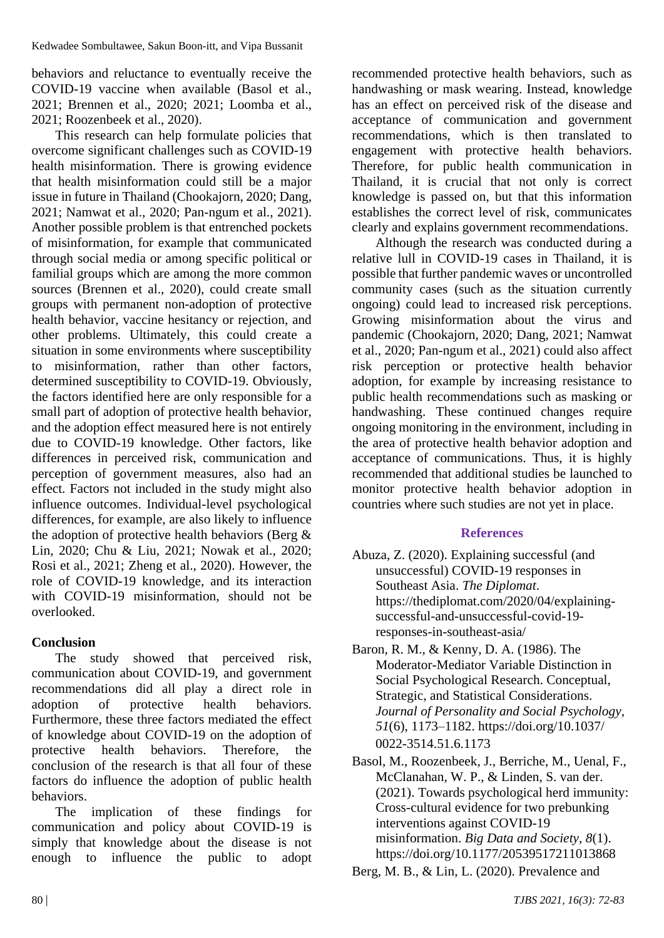behaviors and reluctance to eventually receive the COVID-19 vaccine when available (Basol et al., 2021; Brennen et al., 2020; 2021; Loomba et al., 2021; Roozenbeek et al., 2020).

This research can help formulate policies that overcome significant challenges such as COVID-19 health misinformation. There is growing evidence that health misinformation could still be a major issue in future in Thailand (Chookajorn, 2020; Dang, 2021; Namwat et al., 2020; Pan-ngum et al., 2021). Another possible problem is that entrenched pockets of misinformation, for example that communicated through social media or among specific political or familial groups which are among the more common sources (Brennen et al., 2020), could create small groups with permanent non-adoption of protective health behavior, vaccine hesitancy or rejection, and other problems. Ultimately, this could create a situation in some environments where susceptibility to misinformation, rather than other factors, determined susceptibility to COVID-19. Obviously, the factors identified here are only responsible for a small part of adoption of protective health behavior, and the adoption effect measured here is not entirely due to COVID-19 knowledge. Other factors, like differences in perceived risk, communication and perception of government measures, also had an effect. Factors not included in the study might also influence outcomes. Individual-level psychological differences, for example, are also likely to influence the adoption of protective health behaviors (Berg & Lin, 2020; Chu & Liu, 2021; Nowak et al., 2020; Rosi et al., 2021; Zheng et al., 2020). However, the role of COVID-19 knowledge, and its interaction with COVID-19 misinformation, should not be overlooked.

# **Conclusion**

The study showed that perceived risk, communication about COVID-19, and government recommendations did all play a direct role in adoption of protective health behaviors. Furthermore, these three factors mediated the effect of knowledge about COVID-19 on the adoption of protective health behaviors. Therefore, the conclusion of the research is that all four of these factors do influence the adoption of public health behaviors.

The implication of these findings for communication and policy about COVID-19 is simply that knowledge about the disease is not enough to influence the public to adopt

recommended protective health behaviors, such as handwashing or mask wearing. Instead, knowledge has an effect on perceived risk of the disease and acceptance of communication and government recommendations, which is then translated to engagement with protective health behaviors. Therefore, for public health communication in Thailand, it is crucial that not only is correct knowledge is passed on, but that this information establishes the correct level of risk, communicates clearly and explains government recommendations.

Although the research was conducted during a relative lull in COVID-19 cases in Thailand, it is possible that further pandemic waves or uncontrolled community cases (such as the situation currently ongoing) could lead to increased risk perceptions. Growing misinformation about the virus and pandemic (Chookajorn, 2020; Dang, 2021; Namwat et al., 2020; Pan-ngum et al., 2021) could also affect risk perception or protective health behavior adoption, for example by increasing resistance to public health recommendations such as masking or handwashing. These continued changes require ongoing monitoring in the environment, including in the area of protective health behavior adoption and acceptance of communications. Thus, it is highly recommended that additional studies be launched to monitor protective health behavior adoption in countries where such studies are not yet in place.

# **References**

- Abuza, Z. (2020). Explaining successful (and unsuccessful) COVID-19 responses in Southeast Asia. *The Diplomat*. https://thediplomat.com/2020/04/explainingsuccessful-and-unsuccessful-covid-19 responses-in-southeast-asia/
- Baron, R. M., & Kenny, D. A. (1986). The Moderator-Mediator Variable Distinction in Social Psychological Research. Conceptual, Strategic, and Statistical Considerations. *Journal of Personality and Social Psychology, 51*(6), 1173–1182. https://doi.org/10.1037/ 0022-3514.51.6.1173
- Basol, M., Roozenbeek, J., Berriche, M., Uenal, F., McClanahan, W. P., & Linden, S. van der. (2021). Towards psychological herd immunity: Cross-cultural evidence for two prebunking interventions against COVID-19 misinformation. *Big Data and Society, 8*(1). https://doi.org/10.1177/20539517211013868
- Berg, M. B., & Lin, L. (2020). Prevalence and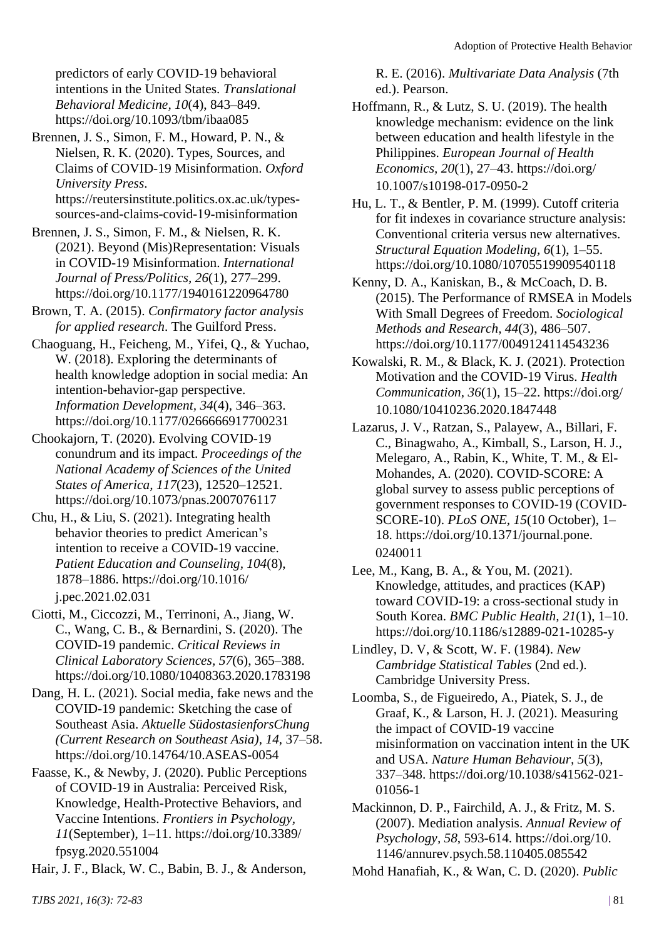predictors of early COVID-19 behavioral intentions in the United States. *Translational Behavioral Medicine, 10*(4), 843–849. https://doi.org/10.1093/tbm/ibaa085

Brennen, J. S., Simon, F. M., Howard, P. N., & Nielsen, R. K. (2020). Types, Sources, and Claims of COVID-19 Misinformation. *Oxford University Press*. https://reutersinstitute.politics.ox.ac.uk/typessources-and-claims-covid-19-misinformation

Brennen, J. S., Simon, F. M., & Nielsen, R. K. (2021). Beyond (Mis)Representation: Visuals in COVID-19 Misinformation. *International Journal of Press/Politics, 26*(1), 277–299. https://doi.org/10.1177/1940161220964780

Brown, T. A. (2015). *Confirmatory factor analysis for applied research*. The Guilford Press.

Chaoguang, H., Feicheng, M., Yifei, Q., & Yuchao, W. (2018). Exploring the determinants of health knowledge adoption in social media: An intention-behavior-gap perspective. *Information Development, 34*(4), 346–363. https://doi.org/10.1177/0266666917700231

Chookajorn, T. (2020). Evolving COVID-19 conundrum and its impact. *Proceedings of the National Academy of Sciences of the United States of America, 117*(23), 12520–12521. https://doi.org/10.1073/pnas.2007076117

Chu, H., & Liu, S. (2021). Integrating health behavior theories to predict American's intention to receive a COVID-19 vaccine. *Patient Education and Counseling, 104*(8), 1878–1886. https://doi.org/10.1016/ j.pec.2021.02.031

Ciotti, M., Ciccozzi, M., Terrinoni, A., Jiang, W. C., Wang, C. B., & Bernardini, S. (2020). The COVID-19 pandemic. *Critical Reviews in Clinical Laboratory Sciences, 57*(6), 365–388. https://doi.org/10.1080/10408363.2020.1783198

Dang, H. L. (2021). Social media, fake news and the COVID-19 pandemic: Sketching the case of Southeast Asia. *Aktuelle SüdostasienforsChung (Current Research on Southeast Asia), 14*, 37–58. https://doi.org/10.14764/10.ASEAS-0054

Faasse, K., & Newby, J. (2020). Public Perceptions of COVID-19 in Australia: Perceived Risk, Knowledge, Health-Protective Behaviors, and Vaccine Intentions. *Frontiers in Psychology, 11*(September), 1–11. https://doi.org/10.3389/ fpsyg.2020.551004

Hair, J. F., Black, W. C., Babin, B. J., & Anderson,

R. E. (2016). *Multivariate Data Analysis* (7th ed.). Pearson.

Hoffmann, R., & Lutz, S. U. (2019). The health knowledge mechanism: evidence on the link between education and health lifestyle in the Philippines. *European Journal of Health Economics, 20*(1), 27–43. https://doi.org/ 10.1007/s10198-017-0950-2

Hu, L. T., & Bentler, P. M. (1999). Cutoff criteria for fit indexes in covariance structure analysis: Conventional criteria versus new alternatives. *Structural Equation Modeling, 6*(1), 1–55. https://doi.org/10.1080/10705519909540118

Kenny, D. A., Kaniskan, B., & McCoach, D. B. (2015). The Performance of RMSEA in Models With Small Degrees of Freedom. *Sociological Methods and Research, 44*(3), 486–507. https://doi.org/10.1177/0049124114543236

- Kowalski, R. M., & Black, K. J. (2021). Protection Motivation and the COVID-19 Virus. *Health Communication, 36*(1), 15–22. https://doi.org/ 10.1080/10410236.2020.1847448
- Lazarus, J. V., Ratzan, S., Palayew, A., Billari, F. C., Binagwaho, A., Kimball, S., Larson, H. J., Melegaro, A., Rabin, K., White, T. M., & El-Mohandes, A. (2020). COVID-SCORE: A global survey to assess public perceptions of government responses to COVID-19 (COVID-SCORE-10). *PLoS ONE, 15*(10 October), 1– 18. https://doi.org/10.1371/journal.pone. 0240011
- Lee, M., Kang, B. A., & You, M. (2021). Knowledge, attitudes, and practices (KAP) toward COVID-19: a cross-sectional study in South Korea. *BMC Public Health, 21*(1), 1–10. https://doi.org/10.1186/s12889-021-10285-y
- Lindley, D. V, & Scott, W. F. (1984). *New Cambridge Statistical Tables* (2nd ed.). Cambridge University Press.
- Loomba, S., de Figueiredo, A., Piatek, S. J., de Graaf, K., & Larson, H. J. (2021). Measuring the impact of COVID-19 vaccine misinformation on vaccination intent in the UK and USA. *Nature Human Behaviour, 5*(3), 337–348. https://doi.org/10.1038/s41562-021- 01056-1

Mackinnon, D. P., Fairchild, A. J., & Fritz, M. S. (2007). Mediation analysis. *Annual Review of Psychology, 58*, 593-614. https://doi.org/10. 1146/annurev.psych.58.110405.085542

Mohd Hanafiah, K., & Wan, C. D. (2020). *Public*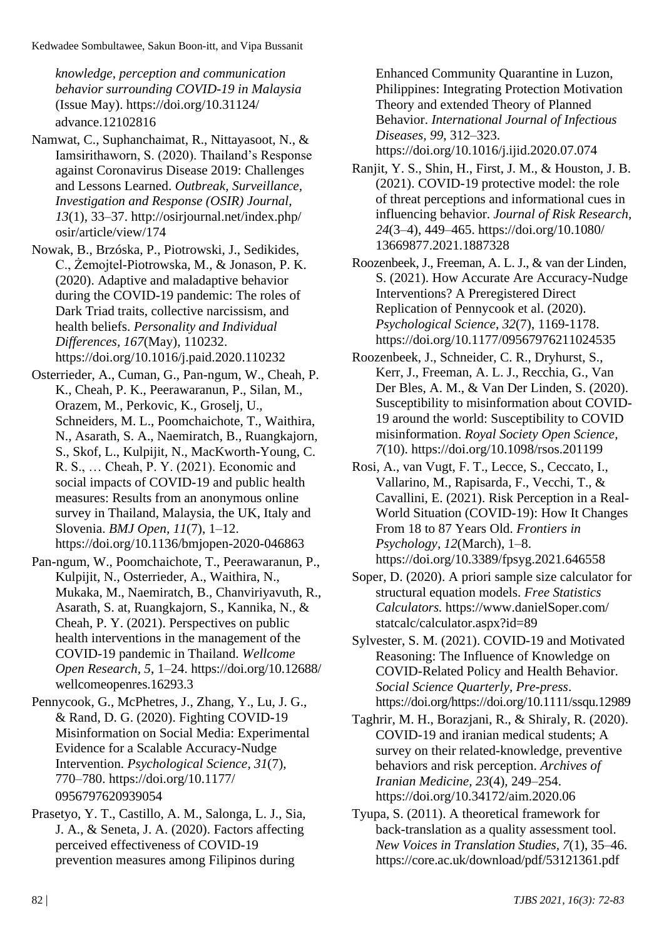Kedwadee Sombultawee, Sakun Boon-itt, and Vipa Bussanit

*knowledge, perception and communication behavior surrounding COVID-19 in Malaysia* (Issue May). https://doi.org/10.31124/ advance.12102816

Namwat, C., Suphanchaimat, R., Nittayasoot, N., & Iamsirithaworn, S. (2020). Thailand's Response against Coronavirus Disease 2019: Challenges and Lessons Learned. *Outbreak, Surveillance, Investigation and Response (OSIR) Journal, 13*(1), 33–37. http://osirjournal.net/index.php/ osir/article/view/174

Nowak, B., Brzóska, P., Piotrowski, J., Sedikides, C., Żemojtel-Piotrowska, M., & Jonason, P. K. (2020). Adaptive and maladaptive behavior during the COVID-19 pandemic: The roles of Dark Triad traits, collective narcissism, and health beliefs. *Personality and Individual Differences, 167*(May), 110232. https://doi.org/10.1016/j.paid.2020.110232

Osterrieder, A., Cuman, G., Pan-ngum, W., Cheah, P. K., Cheah, P. K., Peerawaranun, P., Silan, M., Orazem, M., Perkovic, K., Groselj, U., Schneiders, M. L., Poomchaichote, T., Waithira, N., Asarath, S. A., Naemiratch, B., Ruangkajorn, S., Skof, L., Kulpijit, N., MacKworth-Young, C. R. S., … Cheah, P. Y. (2021). Economic and social impacts of COVID-19 and public health measures: Results from an anonymous online survey in Thailand, Malaysia, the UK, Italy and Slovenia. *BMJ Open, 11*(7), 1–12. https://doi.org/10.1136/bmjopen-2020-046863

Pan-ngum, W., Poomchaichote, T., Peerawaranun, P., Kulpijit, N., Osterrieder, A., Waithira, N., Mukaka, M., Naemiratch, B., Chanviriyavuth, R., Asarath, S. at, Ruangkajorn, S., Kannika, N., & Cheah, P. Y. (2021). Perspectives on public health interventions in the management of the COVID-19 pandemic in Thailand. *Wellcome Open Research, 5*, 1–24. https://doi.org/10.12688/ wellcomeopenres.16293.3

Pennycook, G., McPhetres, J., Zhang, Y., Lu, J. G., & Rand, D. G. (2020). Fighting COVID-19 Misinformation on Social Media: Experimental Evidence for a Scalable Accuracy-Nudge Intervention. *Psychological Science, 31*(7), 770–780. https://doi.org/10.1177/ 0956797620939054

Prasetyo, Y. T., Castillo, A. M., Salonga, L. J., Sia, J. A., & Seneta, J. A. (2020). Factors affecting perceived effectiveness of COVID-19 prevention measures among Filipinos during

Enhanced Community Quarantine in Luzon, Philippines: Integrating Protection Motivation Theory and extended Theory of Planned Behavior. *International Journal of Infectious Diseases, 99*, 312–323.

https://doi.org/10.1016/j.ijid.2020.07.074

Ranjit, Y. S., Shin, H., First, J. M., & Houston, J. B. (2021). COVID-19 protective model: the role of threat perceptions and informational cues in influencing behavior. *Journal of Risk Research, 24*(3–4), 449–465. https://doi.org/10.1080/ 13669877.2021.1887328

Roozenbeek, J., Freeman, A. L. J., & van der Linden, S. (2021). How Accurate Are Accuracy-Nudge Interventions? A Preregistered Direct Replication of Pennycook et al. (2020). *Psychological Science, 32*(7), 1169-1178. https://doi.org/10.1177/09567976211024535

Roozenbeek, J., Schneider, C. R., Dryhurst, S., Kerr, J., Freeman, A. L. J., Recchia, G., Van Der Bles, A. M., & Van Der Linden, S. (2020). Susceptibility to misinformation about COVID-19 around the world: Susceptibility to COVID misinformation. *Royal Society Open Science, 7*(10). https://doi.org/10.1098/rsos.201199

Rosi, A., van Vugt, F. T., Lecce, S., Ceccato, I., Vallarino, M., Rapisarda, F., Vecchi, T., & Cavallini, E. (2021). Risk Perception in a Real-World Situation (COVID-19): How It Changes From 18 to 87 Years Old. *Frontiers in Psychology, 12*(March), 1–8. https://doi.org/10.3389/fpsyg.2021.646558

Soper, D. (2020). A priori sample size calculator for structural equation models. *Free Statistics Calculators.* https://www.danielSoper.com/ statcalc/calculator.aspx?id=89

Sylvester, S. M. (2021). COVID-19 and Motivated Reasoning: The Influence of Knowledge on COVID-Related Policy and Health Behavior. *Social Science Quarterly, Pre*-*press*. https://doi.org/https://doi.org/10.1111/ssqu.12989

Taghrir, M. H., Borazjani, R., & Shiraly, R. (2020). COVID-19 and iranian medical students; A survey on their related-knowledge, preventive behaviors and risk perception. *Archives of Iranian Medicine, 23*(4), 249–254. https://doi.org/10.34172/aim.2020.06

Tyupa, S. (2011). A theoretical framework for back-translation as a quality assessment tool. *New Voices in Translation Studies, 7*(1), 35–46. https://core.ac.uk/download/pdf/53121361.pdf